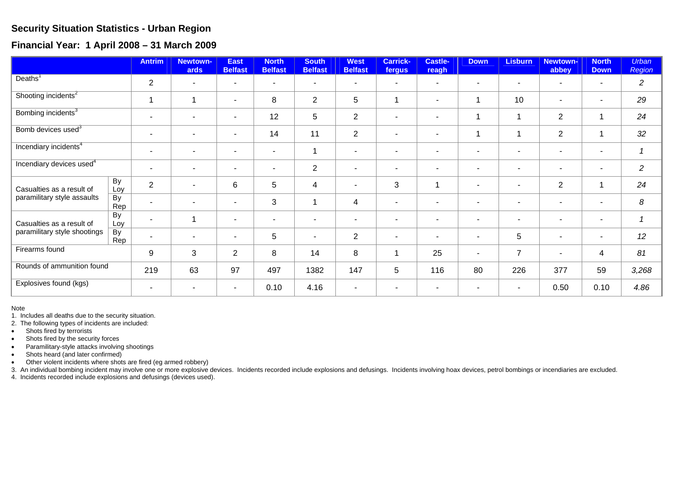## **Security Situation Statistics - Urban Region**

**Financial Year: 1 April 2008 – 31 March 2009** 

|                                                           |           | <b>Antrim</b>            | Newtown-<br>ards         | <b>East</b><br><b>Belfast</b> | <b>North</b><br><b>Belfast</b> | <b>South</b><br><b>Belfast</b> | <b>West</b><br><b>Belfast</b> | <b>Carrick-</b><br>fergus | <b>Castle-</b><br>reagh  | <b>Down</b>              | <b>Lisburn</b>           | <b>Newtown-</b><br>abbey | <b>North</b><br><b>Down</b> | <b>Urban</b><br>Region |
|-----------------------------------------------------------|-----------|--------------------------|--------------------------|-------------------------------|--------------------------------|--------------------------------|-------------------------------|---------------------------|--------------------------|--------------------------|--------------------------|--------------------------|-----------------------------|------------------------|
| Deaths <sup>1</sup>                                       |           | $\overline{2}$           | $\blacksquare$           | $\blacksquare$                | $\overline{\phantom{a}}$       |                                | $\blacksquare$                | ٠                         | ٠                        |                          | $\sim$                   |                          |                             | $\overline{2}$         |
| Shooting incidents <sup>2</sup>                           |           | 1                        |                          | $\blacksquare$                | 8                              | $\overline{2}$                 | 5                             | 1                         | ۰                        | $\mathbf 1$              | 10                       |                          | $\sim$                      | 29                     |
| Bombing incidents <sup>3</sup>                            |           | $\sim$                   |                          | $\overline{\phantom{0}}$      | 12                             | 5                              | $\overline{2}$                | $\blacksquare$            | $\overline{\phantom{0}}$ | 1                        | 1                        | 2                        | 1                           | 24                     |
| Bomb devices used <sup>3</sup>                            |           | $\blacksquare$           | ۰                        | $\blacksquare$                | 14                             | 11                             | $\overline{2}$                | $\overline{\phantom{a}}$  | $\overline{\phantom{a}}$ | 1                        | $\overline{\phantom{a}}$ | $\overline{2}$           | 1                           | 32                     |
| Incendiary incidents <sup>4</sup>                         |           | $\overline{\phantom{a}}$ | $\overline{\phantom{0}}$ | $\overline{\phantom{0}}$      | $\blacksquare$                 | -1                             | $\sim$                        | $\overline{\phantom{0}}$  | $\blacksquare$           | $\overline{\phantom{a}}$ | $\sim$                   |                          | $\overline{\phantom{0}}$    | $\mathcal I$           |
| Incendiary devices used <sup>4</sup>                      |           | $\overline{\phantom{a}}$ |                          | ۰                             | ٠                              | $\overline{2}$                 | -                             | $\overline{\phantom{0}}$  | $\overline{\phantom{a}}$ |                          |                          |                          |                             | $\overline{2}$         |
| Casualties as a result of<br>paramilitary style assaults  | By<br>Loy | $\overline{2}$           |                          | 6                             | 5                              | 4                              | $\overline{\phantom{a}}$      | 3                         |                          | $\blacksquare$           | $\overline{\phantom{a}}$ | $\overline{2}$           | -1                          | 24                     |
|                                                           | By<br>Rep | $\sim$                   | $\blacksquare$           | $\overline{\phantom{0}}$      | 3                              | -1                             | 4                             | $\blacksquare$            | $\blacksquare$           | $\overline{\phantom{a}}$ | $\sim$                   |                          | $\sim$                      | 8                      |
| Casualties as a result of<br>paramilitary style shootings | By<br>Loy | $\overline{\phantom{a}}$ |                          | $\overline{\phantom{0}}$      | $\overline{\phantom{a}}$       |                                | $\overline{\phantom{a}}$      | $\overline{\phantom{0}}$  | $\overline{\phantom{a}}$ |                          |                          |                          | $\overline{\phantom{0}}$    | $\overline{1}$         |
|                                                           | By<br>Rep | $\blacksquare$           | ۰                        | ٠                             | 5                              | $\blacksquare$                 | $\overline{2}$                | $\blacksquare$            | $\overline{\phantom{a}}$ |                          | 5                        |                          |                             | 12                     |
| Firearms found                                            |           | 9                        | 3                        | $\overline{2}$                | 8                              | 14                             | 8                             |                           | 25                       | $\overline{\phantom{a}}$ | $\overline{7}$           |                          | 4                           | 81                     |
| Rounds of ammunition found                                |           | 219                      | 63                       | 97                            | 497                            | 1382                           | 147                           | 5                         | 116                      | 80                       | 226                      | 377                      | 59                          | 3,268                  |
| Explosives found (kgs)                                    |           |                          |                          | $\blacksquare$                | 0.10                           | 4.16                           | $\sim$                        |                           |                          | $\overline{\phantom{a}}$ | $\sim$                   | 0.50                     | 0.10                        | 4.86                   |

Note

1. Includes all deaths due to the security situation.

2. The following types of incidents are included:

- Shots fired by terrorists
- Shots fired by the security forces
- Paramilitary-style attacks involving shootings

• Shots heard (and later confirmed)

• Other violent incidents where shots are fired (eg armed robbery)

3. An individual bombing incident may involve one or more explosive devices. Incidents recorded include explosions and defusings. Incidents involving hoax devices, petrol bombings or incendiaries are excluded.

4. Incidents recorded include explosions and defusings (devices used).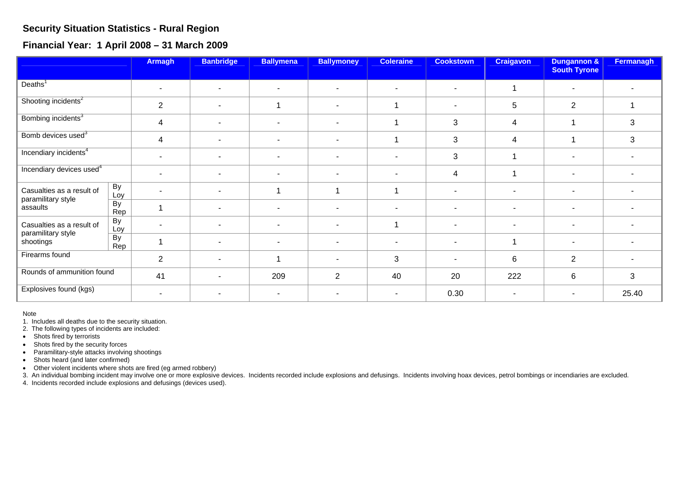## **Security Situation Statistics - Rural Region**

**Financial Year: 1 April 2008 – 31 March 2009** 

|                                                              |                        | <b>Armagh</b>  | <b>Banbridge</b>         | <b>Ballymena</b>         | <b>Ballymoney</b>        | <b>Coleraine</b>         | <b>Cookstown</b>         | <b>Craigavon</b>         | <b>Dungannon &amp;</b><br><b>South Tyrone</b> | Fermanagh |
|--------------------------------------------------------------|------------------------|----------------|--------------------------|--------------------------|--------------------------|--------------------------|--------------------------|--------------------------|-----------------------------------------------|-----------|
| Deaths <sup>1</sup>                                          |                        | $\blacksquare$ | $\sim$                   | ۰                        | $\overline{\phantom{a}}$ |                          |                          | 1                        | $\blacksquare$                                |           |
| Shooting incidents <sup>2</sup>                              |                        | $\overline{2}$ | $\sim$                   |                          | $\overline{\phantom{a}}$ |                          |                          | 5                        | $\overline{2}$                                |           |
| Bombing incidents <sup>3</sup>                               |                        | 4              | $\sim$                   | ۰                        | $\overline{\phantom{a}}$ |                          | 3                        | $\overline{4}$           |                                               | 3         |
| Bomb devices used <sup>3</sup>                               |                        | 4              | $\overline{\phantom{0}}$ | ٠                        | $\blacksquare$           |                          | 3                        | 4                        |                                               | 3         |
| Incendiary incidents <sup>4</sup>                            |                        | $\blacksquare$ | $\sim$                   | $\overline{\phantom{a}}$ | $\overline{\phantom{a}}$ | $\overline{\phantom{0}}$ | 3                        | 1                        | $\blacksquare$                                |           |
| Incendiary devices used <sup>4</sup>                         |                        | $\blacksquare$ | $\sim$                   | $\overline{\phantom{a}}$ | $\overline{\phantom{a}}$ |                          | 4                        | 1                        | $\overline{\phantom{a}}$                      |           |
| Casualties as a result of<br>paramilitary style<br>assaults  | By<br>Loy              |                | $\overline{\phantom{a}}$ |                          |                          |                          |                          |                          | $\overline{\phantom{a}}$                      |           |
|                                                              | $\overline{By}$<br>Rep |                | $\sim$                   | ۰                        | $\overline{\phantom{a}}$ |                          | $\blacksquare$           |                          | $\blacksquare$                                |           |
| Casualties as a result of<br>paramilitary style<br>shootings | By<br>Loy              |                | $\overline{\phantom{0}}$ | $\blacksquare$           | $\overline{\phantom{a}}$ |                          | $\overline{\phantom{a}}$ | $\overline{\phantom{0}}$ | $\blacksquare$                                |           |
|                                                              | $\overline{By}$<br>Rep |                | $\sim$                   | $\blacksquare$           | $\blacksquare$           | ۰                        | $\blacksquare$           | 1                        | $\blacksquare$                                |           |
| Firearms found                                               |                        | $\overline{2}$ |                          |                          |                          | 3                        | ٠                        | 6                        | 2                                             |           |
| Rounds of ammunition found                                   |                        | 41             | $\overline{\phantom{a}}$ | 209                      | $\overline{2}$           | 40                       | 20                       | 222                      | 6                                             | 3         |
| Explosives found (kgs)                                       |                        | $\blacksquare$ | $\sim$                   |                          |                          |                          | 0.30                     |                          | $\blacksquare$                                | 25.40     |

Note

1. Includes all deaths due to the security situation.

2. The following types of incidents are included:

• Shots fired by terrorists

• Shots fired by the security forces

• Paramilitary-style attacks involving shootings

• Shots heard (and later confirmed)

• Other violent incidents where shots are fired (eg armed robbery)

3. An individual bombing incident may involve one or more explosive devices. Incidents recorded include explosions and defusings. Incidents involving hoax devices, petrol bombings or incendiaries are excluded.

4. Incidents recorded include explosions and defusings (devices used).